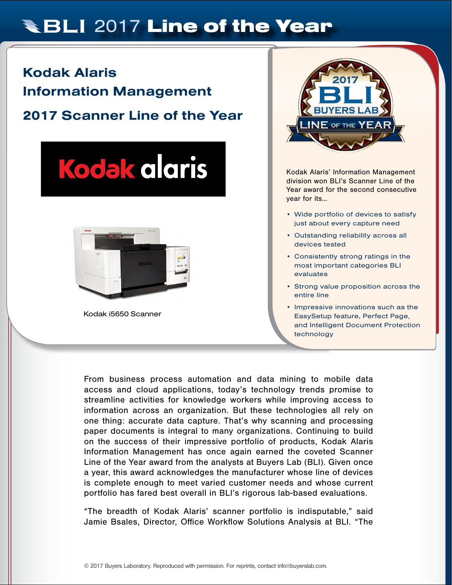# **RBLI 2017 Line of the Year**

## Kodak Alaris Information Management 2017 Scanner Line of the Year





Kodak i5650 Scanner



Kodak Alaris' Information Management division won BLI's Scanner Line of the Year award for the second consecutive year for its…

- Wide portfolio of devices to satisfy just about every capture need
- Outstanding reliability across all devices tested
- Consistently strong ratings in the most important categories BLI evaluates
- Strong value proposition across the entire line
- Impressive innovations such as the EasySetup feature, Perfect Page, and Intelligent Document Protection technology

From business process automation and data mining to mobile data access and cloud applications, today's technology trends promise to streamline activities for knowledge workers while improving access to information across an organization. But these technologies all rely on one thing: accurate data capture. That's why scanning and processing paper documents is integral to many organizations. Continuing to build on the success of their impressive portfolio of products, Kodak Alaris Information Management has once again earned the coveted Scanner Line of the Year award from the analysts at Buyers Lab (BLI). Given once a year, this award acknowledges the manufacturer whose line of devices is complete enough to meet varied customer needs and whose current portfolio has fared best overall in BLI's rigorous lab-based evaluations.

"The breadth of Kodak Alaris' scanner portfolio is indisputable," said Jamie Bsales, Director, Office Workflow Solutions Analysis at BLI. "The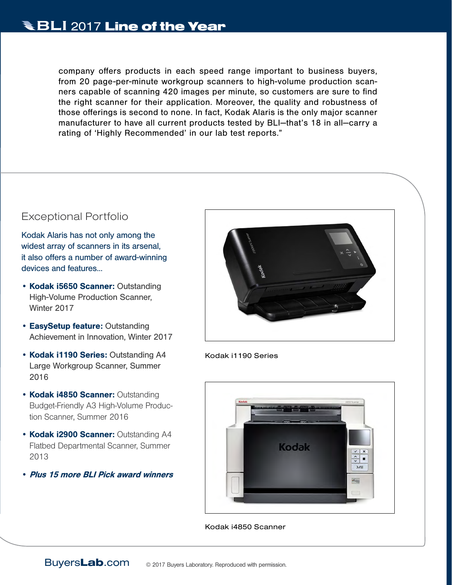company offers products in each speed range important to business buyers, from 20 page-per-minute workgroup scanners to high-volume production scanners capable of scanning 420 images per minute, so customers are sure to find the right scanner for their application. Moreover, the quality and robustness of those offerings is second to none. In fact, Kodak Alaris is the only major scanner manufacturer to have all current products tested by BLI—that's 18 in all—carry a rating of 'Highly Recommended' in our lab test reports."

### Exceptional Portfolio

Kodak Alaris has not only among the widest array of scanners in its arsenal, it also offers a number of award-winning devices and features...

- Kodak i5650 Scanner: Outstanding High-Volume Production Scanner, Winter 2017
- EasySetup feature: Outstanding Achievement in Innovation, Winter 2017
- Kodak i1190 Series: Outstanding A4 Large Workgroup Scanner, Summer 2016
- Kodak i4850 Scanner: Outstanding Budget-Friendly A3 High-Volume Production Scanner, Summer 2016
- Kodak i2900 Scanner: Outstanding A4 Flatbed Departmental Scanner, Summer 2013
- Plus 15 more BLI Pick award winners



Kodak i1190 Series



Kodak i4850 Scanner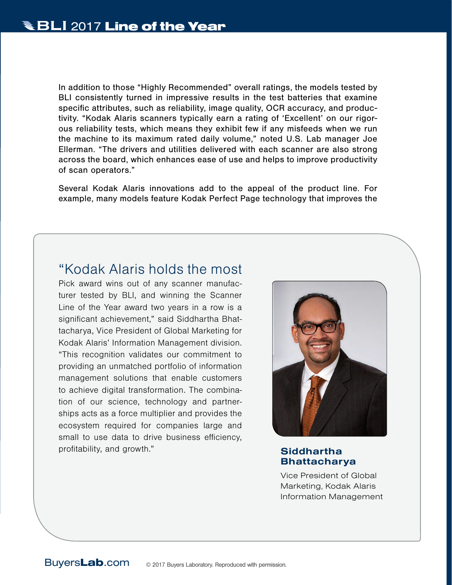In addition to those "Highly Recommended" overall ratings, the models tested by BLI consistently turned in impressive results in the test batteries that examine specific attributes, such as reliability, image quality, OCR accuracy, and productivity. "Kodak Alaris scanners typically earn a rating of 'Excellent' on our rigorous reliability tests, which means they exhibit few if any misfeeds when we run the machine to its maximum rated daily volume," noted U.S. Lab manager Joe Ellerman. "The drivers and utilities delivered with each scanner are also strong across the board, which enhances ease of use and helps to improve productivity of scan operators."

Several Kodak Alaris innovations add to the appeal of the product line. For example, many models feature Kodak Perfect Page technology that improves the

### "Kodak Alaris holds the most

Pick award wins out of any scanner manufacturer tested by BLI, and winning the Scanner Line of the Year award two years in a row is a significant achievement," said Siddhartha Bhattacharya, Vice President of Global Marketing for Kodak Alaris' Information Management division. "This recognition validates our commitment to providing an unmatched portfolio of information management solutions that enable customers to achieve digital transformation. The combination of our science, technology and partnerships acts as a force multiplier and provides the ecosystem required for companies large and small to use data to drive business efficiency, profitability, and growth." Siddhartha



# Bhattacharya

Vice President of Global Marketing, Kodak Alaris Information Management